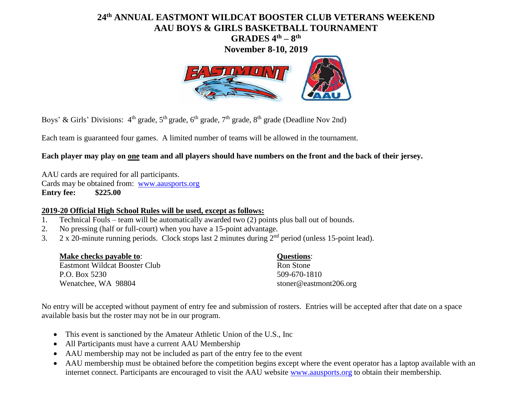## **24 th ANNUAL EASTMONT WILDCAT BOOSTER CLUB VETERANS WEEKEND AAU BOYS & GIRLS BASKETBALL TOURNAMENT GRADES 4 th – 8 th**

**November 8-10, 2019**



Boys' & Girls' Divisions: 4<sup>th</sup> grade, 5<sup>th</sup> grade, 6<sup>th</sup> grade, 7<sup>th</sup> grade, 8<sup>th</sup> grade (Deadline Nov 2nd)

Each team is guaranteed four games. A limited number of teams will be allowed in the tournament.

## **Each player may play on one team and all players should have numbers on the front and the back of their jersey.**

AAU cards are required for all participants. Cards may be obtained from: [www.aausports.org](http://www.aausports.org/) **Entry fee: \$225.00**

## **2019-20 Official High School Rules will be used, except as follows:**

- 1. Technical Fouls team will be automatically awarded two (2) points plus ball out of bounds.
- 2. No pressing (half or full-court) when you have a 15-point advantage.
- 3.  $2 \times 20$ -minute running periods. Clock stops last 2 minutes during  $2<sup>nd</sup>$  period (unless 15-point lead).

| Make checks payable to:       | <b>Questions:</b>      |
|-------------------------------|------------------------|
| Eastmont Wildcat Booster Club | Ron Stone              |
| P.O. Box 5230                 | 509-670-1810           |
| Wenatchee, WA 98804           | stoner@eastmont206.org |

No entry will be accepted without payment of entry fee and submission of rosters. Entries will be accepted after that date on a space available basis but the roster may not be in our program.

- This event is sanctioned by the Amateur Athletic Union of the U.S., Inc.
- All Participants must have a current AAU Membership
- AAU membership may not be included as part of the entry fee to the event
- AAU membership must be obtained before the competition begins except where the event operator has a laptop available with an internet connect. Participants are encouraged to visit the AAU website [www.aausports.org](http://www.aausports.org/) to obtain their membership.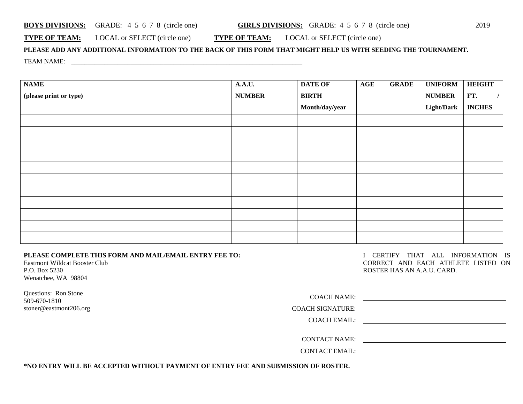| <b>BOYS DIVISIONS:</b> |  |  |  |  |  | GRADE: $4\ 5\ 6\ 7\ 8$ (circle one) |
|------------------------|--|--|--|--|--|-------------------------------------|
|------------------------|--|--|--|--|--|-------------------------------------|

**TYPE OF TEAM:** LOCAL or SELECT (circle one) **TYPE OF TEAM:** LOCAL or SELECT (circle one)

**PLEASE ADD ANY ADDITIONAL INFORMATION TO THE BACK OF THIS FORM THAT MIGHT HELP US WITH SEEDING THE TOURNAMENT.** TEAM NAME: \_\_\_\_\_\_\_\_\_\_\_\_\_\_\_\_\_\_\_\_\_\_\_\_\_\_\_\_\_\_\_\_\_\_\_\_\_\_\_\_\_\_\_\_\_\_\_\_\_\_\_\_\_\_\_\_\_\_\_\_\_\_\_\_\_\_\_\_\_\_

| <b>NAME</b>            | A.A.U.        | <b>DATE OF</b> | AGE | <b>GRADE</b> | <b>UNIFORM</b>    | <b>HEIGHT</b> |
|------------------------|---------------|----------------|-----|--------------|-------------------|---------------|
| (please print or type) | <b>NUMBER</b> | <b>BIRTH</b>   |     |              | <b>NUMBER</b>     | FT.           |
|                        |               | Month/day/year |     |              | <b>Light/Dark</b> | <b>INCHES</b> |
|                        |               |                |     |              |                   |               |
|                        |               |                |     |              |                   |               |
|                        |               |                |     |              |                   |               |
|                        |               |                |     |              |                   |               |
|                        |               |                |     |              |                   |               |
|                        |               |                |     |              |                   |               |
|                        |               |                |     |              |                   |               |
|                        |               |                |     |              |                   |               |
|                        |               |                |     |              |                   |               |
|                        |               |                |     |              |                   |               |
|                        |               |                |     |              |                   |               |

**PLEASE COMPLETE THIS FORM AND MAIL/EMAIL ENTRY FEE TO:** Eastmont Wildcat Booster Club

P.O. Box 5230 Wenatchee, WA 98804

Questions: Ron Stone 509-670-1810 stoner@eastmont206.org I CERTIFY THAT ALL INFORMATION IS CORRECT AND EACH ATHLETE LISTED ON ROSTER HAS AN A.A.U. CARD.

| <u>and the state of the state of the state of the state of the state of the state of the state of the state of the state of the state of the state of the state of the state of the state of the state of the state of the state</u> |
|--------------------------------------------------------------------------------------------------------------------------------------------------------------------------------------------------------------------------------------|
| <u> 1980 - Jan Barat, margaret al II-lea (b. 1980)</u>                                                                                                                                                                               |
|                                                                                                                                                                                                                                      |
|                                                                                                                                                                                                                                      |
|                                                                                                                                                                                                                                      |
|                                                                                                                                                                                                                                      |
|                                                                                                                                                                                                                                      |

**\*NO ENTRY WILL BE ACCEPTED WITHOUT PAYMENT OF ENTRY FEE AND SUBMISSION OF ROSTER.**